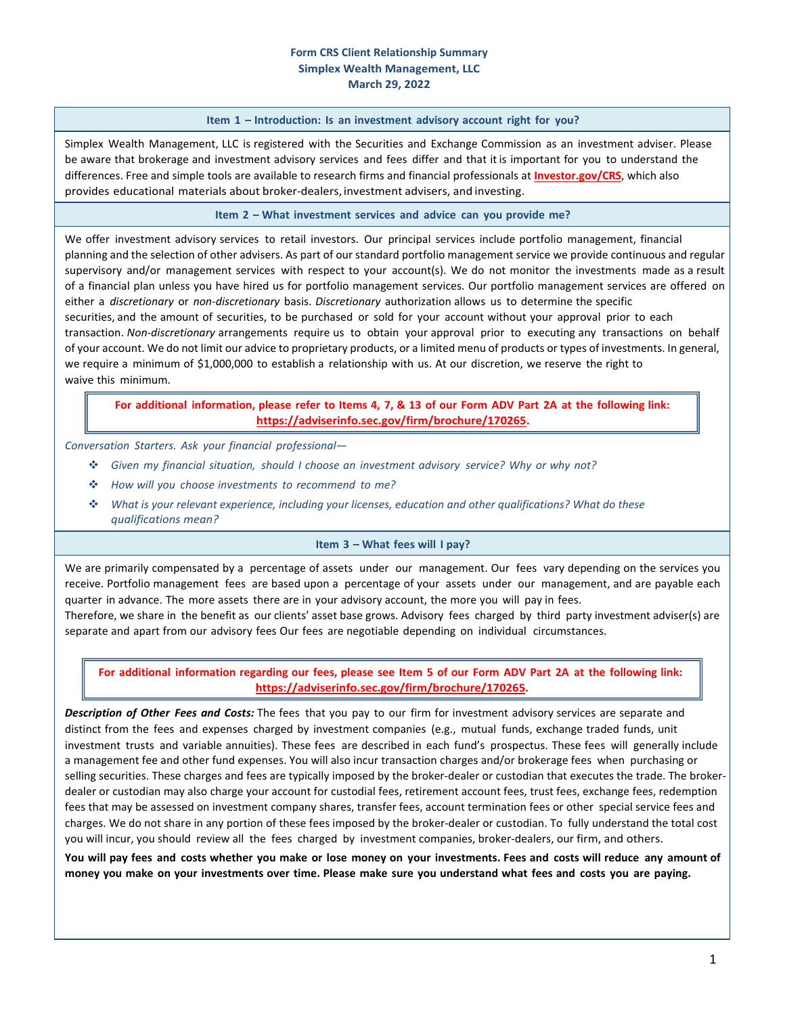### **Form CRS Client Relationship Summary Simplex Wealth Management, LLC March 29, 2022**

#### **Item 1 – Introduction: Is an investment advisory account right for you?**

Simplex Wealth Management, LLC is registered with the Securities and Exchange Commission as an investment adviser. Please be aware that brokerage and investment advisory services and fees differ and that it is important for you to understand the differences. Free and simple tools are available to research firms and financial professionals at **[Investor.gov/CRS](https://www.investor.gov/CRS)**, which also provides educational materials about broker‐dealers, investment advisers, and investing.

#### **Item 2 – What investment services and advice can you provide me?**

We offer investment advisory services to retail investors. Our principal services include portfolio management, financial planning and the selection of other advisers. As part of our standard portfolio management service we provide continuous and regular supervisory and/or management services with respect to your account(s). We do not monitor the investments made as a result of a financial plan unless you have hired us for portfolio management services. Our portfolio management services are offered on either a *discretionary* or *non‐discretionary* basis. *Discretionary* authorization allows us to determine the specific securities, and the amount of securities, to be purchased or sold for your account without your approval prior to each transaction. *Non‐discretionary* arrangements require us to obtain your approval prior to executing any transactions on behalf of your account. We do not limit our advice to proprietary products, or a limited menu of products or types of investments. In general, we require a minimum of \$1,000,000 to establish a relationship with us. At our discretion, we reserve the right to waive this minimum.

# For additional information, please refer to Items 4, 7, & 13 of our Form ADV Part 2A at the following link: **https://adviserinfo.sec.gov/firm/brochure/170265.**

### *Conversation Starters. Ask your financial professional—*

- *Given my financial situation, should I choose an investment advisory service? Why or why not?*
- *How will you choose investments to recommend to me?*
- *What is your relevant experience, including your licenses, education and other qualifications? What do these qualifications mean?*

#### **Item 3 – What fees will I pay?**

We are primarily compensated by a percentage of assets under our management. Our fees vary depending on the services you receive. Portfolio management fees are based upon a percentage of your assets under our management, and are payable each quarter in advance. The more assets there are in your advisory account, the more you will pay in fees.

Therefore, we share in the benefit as our clients' asset base grows. Advisory fees charged by third party investment adviser(s) are separate and apart from our advisory fees Our fees are negotiable depending on individual circumstances.

# For additional information regarding our fees, please see Item 5 of our Form ADV Part 2A at the following link: **https://adviserinfo.sec.gov/firm/brochure/170265.**

*Description of Other Fees and Costs:* The fees that you pay to our firm for investment advisory services are separate and distinct from the fees and expenses charged by investment companies (e.g., mutual funds, exchange traded funds, unit investment trusts and variable annuities). These fees are described in each fund's prospectus. These fees will generally include a management fee and other fund expenses. You will also incur transaction charges and/or brokerage fees when purchasing or selling securities. These charges and fees are typically imposed by the broker-dealer or custodian that executes the trade. The brokerdealer or custodian may also charge your account for custodial fees, retirement account fees, trust fees, exchange fees, redemption fees that may be assessed on investment company shares, transfer fees, account termination fees or other special service fees and charges. We do not share in any portion of these fees imposed by the broker‐dealer or custodian. To fully understand the total cost you will incur, you should review all the fees charged by investment companies, broker-dealers, our firm, and others.

You will pay fees and costs whether you make or lose money on your investments. Fees and costs will reduce any amount of money you make on your investments over time. Please make sure you understand what fees and costs you are paying.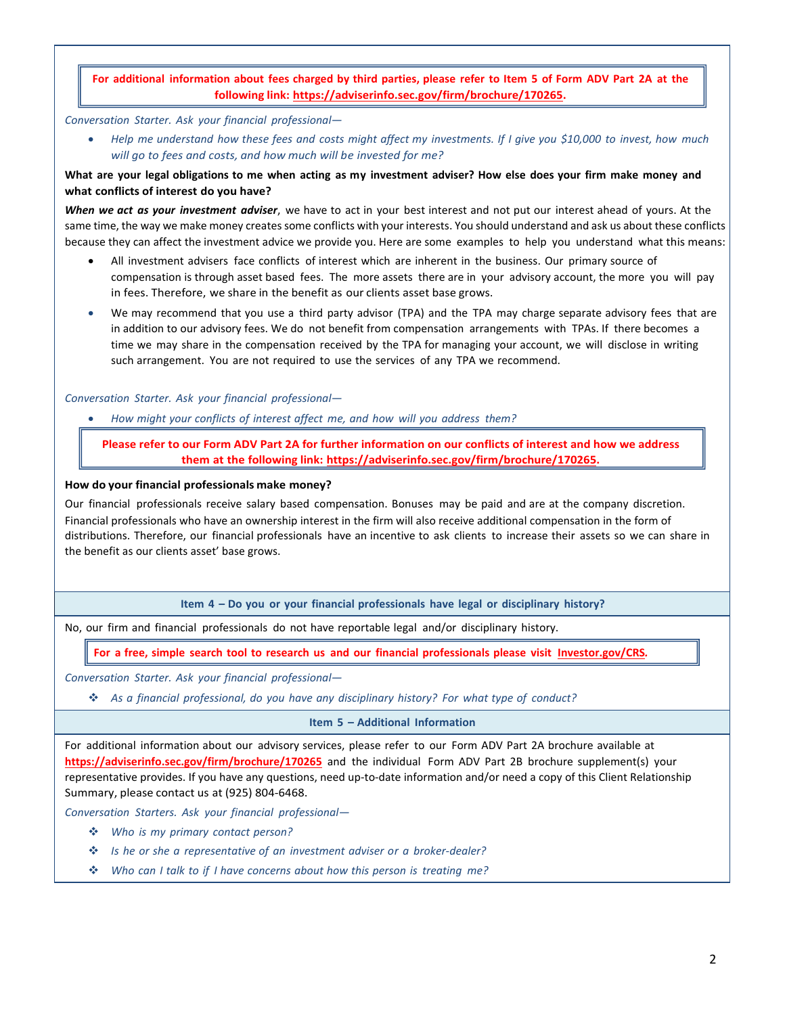# For additional information about fees charged by third parties, please refer to Item 5 of Form ADV Part 2A at the **following link: https://adviserinfo.sec.gov/firm/brochure/170265.**

*Conversation Starter. Ask your financial professional—*

Help me understand how these fees and costs might affect my investments. If I give you \$10,000 to invest, how much *will go to fees and costs, and how much will be invested for me?*

# What are your legal obligations to me when acting as my investment adviser? How else does your firm make money and **what conflicts of interest do you have?**

*When we act as your investment adviser*, we have to act in your best interest and not put our interest ahead of yours. At the same time, the way we make money createssome conflicts with your interests. You should understand and ask us about these conflicts because they can affect the investment advice we provide you. Here are some examples to help you understand what this means:

- All investment advisers face conflicts of interest which are inherent in the business. Our primary source of compensation is through asset based fees. The more assets there are in your advisory account, the more you will pay in fees. Therefore, we share in the benefit as our clients asset base grows.
- We may recommend that you use a third party advisor (TPA) and the TPA may charge separate advisory fees that are in addition to our advisory fees. We do not benefit from compensation arrangements with TPAs. If there becomes a time we may share in the compensation received by the TPA for managing your account, we will disclose in writing such arrangement. You are not required to use the services of any TPA we recommend.

*Conversation Starter. Ask your financial professional—*

*How might your conflicts of interest affect me, and how will you address them?*

Please refer to our Form ADV Part 2A for further information on our conflicts of interest and how we address **them at the following link: https://adviserinfo.sec.gov/firm/brochure/170265.**

### **How do your financial professionals make money?**

Our financial professionals receive salary based compensation. Bonuses may be paid and are at the company discretion. Financial professionals who have an ownership interest in the firm will also receive additional compensation in the form of distributions. Therefore, our financial professionals have an incentive to ask clients to increase their assets so we can share in the benefit as our clients asset' base grows.

**Item 4 – Do you or your financial professionals have legal or disciplinary history?**

No, our firm and financial professionals do not have reportable legal and/or disciplinary history.

For a free, simple search tool to research us and our financial professionals please visit [Investor.gov/CRS](https://www.investor.gov/CRS).

*Conversation Starter. Ask your financial professional—*

*As a financial professional, do you have any disciplinary history? For what type of conduct?*

**Item 5 – Additional Information**

For additional information about our advisory services, please refer to our Form ADV Part 2A brochure available at **https://adviserinfo.sec.gov/firm/brochure/170265** and the individual Form ADV Part 2B brochure supplement(s) your representative provides. If you have any questions, need up-to-date information and/or need a copy of this Client Relationship Summary, please contact us at (925) 804‐6468.

*Conversation Starters. Ask your financial professional—*

- *Who is my primary contact person?*
- *Is he or she a representative of an investment adviser or a broker‐dealer?*
- *Who can I talk to if I have concerns about how this person is treating me?*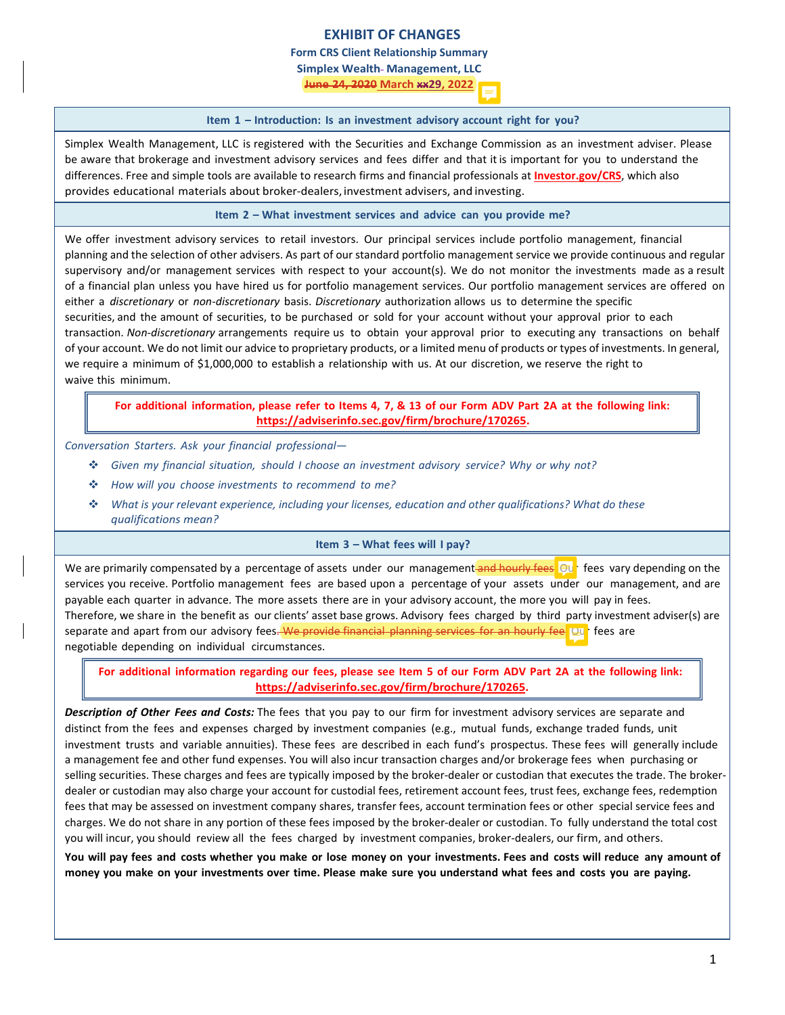# **EXHIBIT OF CHANGES**

**Form CRS Client Relationship Summary**

**Simplex Wealth Management, LLC**

**June 24, 2020 March xx29, 2022**

### **Item 1 – Introduction: Is an investment advisory account right for you?**

Simplex Wealth Management, LLC is registered with the Securities and Exchange Commission as an investment adviser. Please be aware that brokerage and investment advisory services and fees differ and that it is important for you to understand the differences. Free and simple tools are available to research firms and financial professionals at **Investor.gov/CRS**, which also provides educational materials about broker‐dealers, investment advisers, and investing.

**Item 2 – What investment services and advice can you provide me?**

We offer investment advisory services to retail investors. Our principal services include portfolio management, financial planning and the selection of other advisers. As part of our standard portfolio management service we provide continuous and regular supervisory and/or management services with respect to your account(s). We do not monitor the investments made as a result of a financial plan unless you have hired us for portfolio management services. Our portfolio management services are offered on either a *discretionary* or *non‐discretionary* basis. *Discretionary* authorization allows us to determine the specific securities, and the amount of securities, to be purchased or sold for your account without your approval prior to each transaction. *Non‐discretionary* arrangements require us to obtain your approval prior to executing any transactions on behalf of your account. We do not limit our advice to proprietary products, or a limited menu of products or types of investments. In general, we require a minimum of \$1,000,000 to establish a relationship with us. At our discretion, we reserve the right to waive this minimum.

For additional information, please refer to Items 4, 7, & 13 of our Form ADV Part 2A at the following link: **https://adviserinfo.sec.gov/firm/brochure/170265.**

*Conversation Starters. Ask your financial professional—*

- *Given my financial situation, should I choose an investment advisory service? Why or why not?*
- *How will you choose investments to recommend to me?*
- *What is your relevant experience, including your licenses, education and other qualifications? What do these qualifications mean?*

#### **Item 3 – What fees will I pay?**

We are primarily compensated by a percentage of assets under our management and hourly fees. Out fees vary depending on the services you receive. Portfolio management fees are based upon a percentage of your assets under our management, and are payable each quarter in advance. The more assets there are in your advisory account, the more you will pay in fees. Therefore, we share in the benefit as our clients' asset base grows. Advisory fees charged by third party investment adviser(s) are separate and apart from our advisory fees. We provide financial planning services for an hourly fee. Our fees are negotiable depending on individual circumstances.

For additional information regarding our fees, please see Item 5 of our Form ADV Part 2A at the following link: **https://adviserinfo.sec.gov/firm/brochure/170265.**

*Description of Other Fees and Costs:* The fees that you pay to our firm for investment advisory services are separate and distinct from the fees and expenses charged by investment companies (e.g., mutual funds, exchange traded funds, unit investment trusts and variable annuities). These fees are described in each fund's prospectus. These fees will generally include a management fee and other fund expenses. You will also incur transaction charges and/or brokerage fees when purchasing or selling securities. These charges and fees are typically imposed by the broker-dealer or custodian that executes the trade. The brokerdealer or custodian may also charge your account for custodial fees, retirement account fees, trust fees, exchange fees, redemption fees that may be assessed on investment company shares, transfer fees, account termination fees or other special service fees and charges. We do not share in any portion of these fees imposed by the broker‐dealer or custodian. To fully understand the total cost you will incur, you should review all the fees charged by investment companies, broker-dealers, our firm, and others.

You will pay fees and costs whether you make or lose money on your investments. Fees and costs will reduce any amount of money you make on your investments over time. Please make sure you understand what fees and costs you are paying.